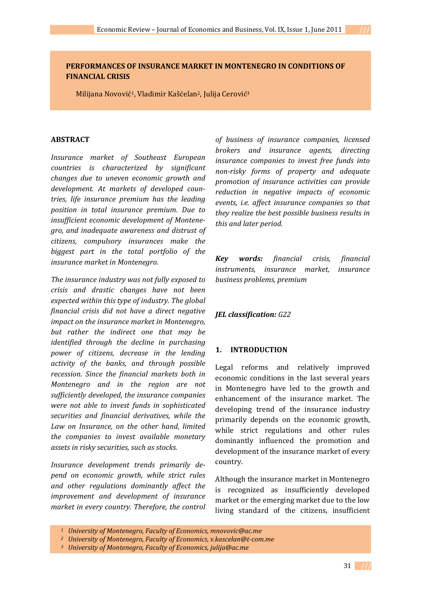## **PERFORMANCES OF INSURANCE MARKET IN MONTENEGRO IN CONDITIONS OF FINANCIAL CRISIS**

Milijana Novović1, Vladimir Kašćelan2, Julija Cerović3

### **ABSTRACT**

*Insurance market of Southeast European countries is characterized by significant changes due to uneven economic growth and development. At markets of developed countries, life insurance premium has the leading position in total insurance premium. Due to insufficient economic development of Montenegro, and inadequate awareness and distrust of citizens, compulsory insurances make the biggest part in the total portfolio of the insurance market in Montenegro.* 

*The insurance industry was not fully exposed to crisis and drastic changes have not been expected within this type of industry. The global financial crisis did not have a direct negative impact on the insurance market in Montenegro, but rather the indirect one that may be identified through the decline in purchasing power of citizens, decrease in the lending activity of the banks, and through possible recession. Since the financial markets both in Montenegro and in the region are not sufficiently developed, the insurance companies were not able to invest funds in sophisticated securities and financial derivatives, while the Law on Insurance, on the other hand, limited the companies to invest available monetary assets in risky securities, such as stocks.* 

*Insurance development trends primarily depend on economic growth, while strict rules and other regulations dominantly affect the improvement and development of insurance market in every country. Therefore, the control* *of business of insurance companies, licensed brokers and insurance agents, directing insurance companies to invest free funds into nonrisky forms of property and adequate promotion of insurance activities can provide reduction in negative impacts of economic events, i.e. affect insurance companies so that they realize the best possible business results in this and later period.* 

*Key words: financial crisis, financial instruments, insurance market, insurance business problems, premium* 

## *JEL classification: G22*

## **1. INTRODUCTION**

Legal reforms and relatively improved economic conditions in the last several years in Montenegro have led to the growth and enhancement of the insurance market. The developing trend of the insurance industry primarily depends on the economic growth, while strict regulations and other rules dominantly influenced the promotion and development of the insurance market of every country.

Although the insurance market in Montenegro is recognized as insufficiently developed market or the emerging market due to the low living standard of the citizens, insufficient

*<sup>1</sup> University of Montenegro, Faculty of Economics, mnovovic@ac.me*

*<sup>2</sup> University of Montenegro, Faculty of Economics, v.kascelan@tcom.me*

*<sup>3</sup> University of Montenegro, Faculty of Economics, julija@ac.me*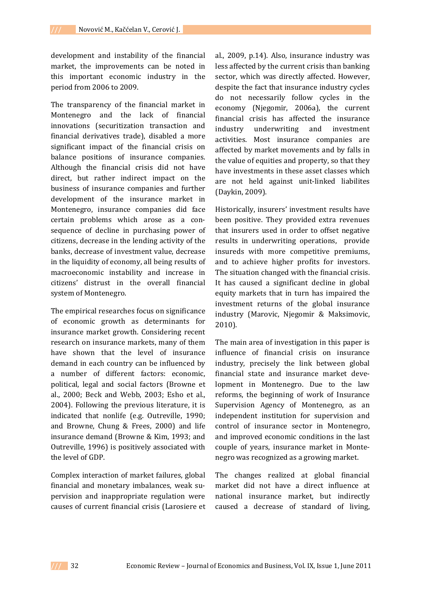development and instability of the financial market, the improvements can be noted in this important economic industry in the period from 2006 to 2009.

The transparency of the financial market in Montenegro and the lack of financial innovations (securitization transaction and financial derivatives trade), disabled a more significant impact of the financial crisis on balance positions of insurance companies. Although the financial crisis did not have direct, but rather indirect impact on the business of insurance companies and further development of the insurance market in Montenegro, insurance companies did face certain problems which arose as a consequence of decline in purchasing power of citizens, decrease in the lending activity of the banks, decrease of investment value, decrease in the liquidity of economy, all being results of macroeconomic instability and increase in citizens' distrust in the overall financial system of Montenegro.

The empirical researches focus on significance of economic growth as determinants for insurance market growth. Considering recent research on insurance markets, many of them have shown that the level of insurance demand in each country can be influenced by a number of different factors: economic, political, legal and social factors (Browne et al., 2000; Beck and Webb, 2003; Esho et al., 2004). Following the previous literature, it is indicated that nonlife (e.g. Outreville, 1990; and Browne, Chung & Frees, 2000) and life insurance demand (Browne & Kim, 1993; and Outreville, 1996) is positively associated with the level of GDP.

Complex interaction of market failures, global financial and monetary imbalances, weak su‐ pervision and inappropriate regulation were causes of current financial crisis (Larosiere et al., 2009, p.14). Also, insurance industry was less affected by the current crisis than banking sector, which was directly affected. However, despite the fact that insurance industry cycles do not necessarily follow cycles in the economy (Njegomir, 2006a), the current financial crisis has affected the insurance industry underwriting and investment activities. Most insurance companies are affected by market movements and by falls in the value of equities and property, so that they have investments in these asset classes which are not held against unit‐linked liabilites (Daykin, 2009).

Historically, insurers' investment results have been positive. They provided extra revenues that insurers used in order to offset negative results in underwriting operations, provide insureds with more competitive premiums, and to achieve higher profits for investors. The situation changed with the financial crisis. It has caused a significant decline in global equity markets that in turn has impaired the investment returns of the global insurance industry (Marovic, Njegomir & Maksimovic, 2010).

The main area of investigation in this paper is influence of financial crisis on insurance industry, precisely the link between global financial state and insurance market deve‐ lopment in Montenegro. Due to the law reforms, the beginning of work of Insurance Supervision Agency of Montenegro, as an independent institution for supervision and control of insurance sector in Montenegro, and improved economic conditions in the last couple of years, insurance market in Monte‐ negro was recognized as a growing market.

The changes realized at global financial market did not have a direct influence at national insurance market, but indirectly caused a decrease of standard of living,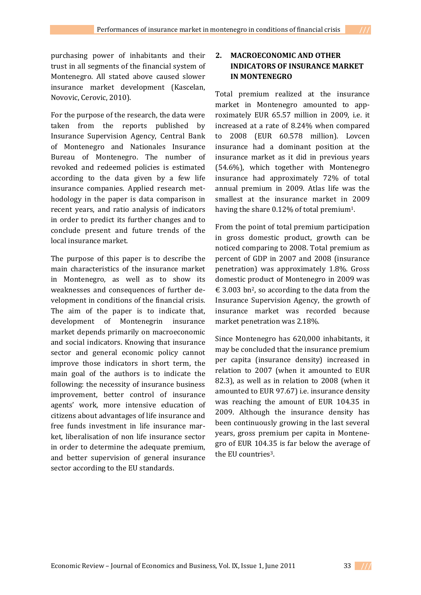purchasing power of inhabitants and their trust in all segments of the financial system of Montenegro. All stated above caused slower insurance market development (Kascelan, Novovic, Cerovic, 2010).

For the purpose of the research, the data were taken from the reports published by Insurance Supervision Agency, Central Bank of Montenegro and Nationales Insurance Bureau of Montenegro. The number of revoked and redeemed policies is estimated according to the data given by a few life insurance companies. Applied research met‐ hodology in the paper is data comparison in recent years, and ratio analysis of indicators in order to predict its further changes and to conclude present and future trends of the local insurance market.

The purpose of this paper is to describe the main characteristics of the insurance market in Montenegro, as well as to show its weaknesses and consequences of further de‐ velopment in conditions of the financial crisis. The aim of the paper is to indicate that, development of Montenegrin insurance market depends primarily on macroeconomic and social indicators. Knowing that insurance sector and general economic policy cannot improve those indicators in short term, the main goal of the authors is to indicate the following: the necessity of insurance business improvement, better control of insurance agents' work, more intensive education of citizens about advantages of life insurance and free funds investment in life insurance mar‐ ket, liberalisation of non life insurance sector in order to determine the adequate premium, and better supervision of general insurance sector according to the EU standards.

# **2. MACROECONOMIC AND OTHER INDICATORS OF INSURANCE MARKET IN MONTENEGRO**

Total premium realized at the insurance market in Montenegro amounted to approximately EUR 65.57 million in 2009, i.e. it increased at a rate of 8.24% when compared to 2008 (EUR 60.578 million). Lovcen insurance had a dominant position at the insurance market as it did in previous years (54.6%), which together with Montenegro insurance had approximately 72% of total annual premium in 2009. Atlas life was the smallest at the insurance market in 2009 having the share 0.12% of total premium<sup>1</sup>.

From the point of total premium participation in gross domestic product, growth can be noticed comparing to 2008. Total premium as percent of GDP in 2007 and 2008 (insurance penetration) was approximately 1.8%. Gross domestic product of Montenegro in 2009 was  $\epsilon$  3.003 bn<sup>2</sup>, so according to the data from the Insurance Supervision Agency, the growth of insurance market was recorded because market penetration was 2.18%.

Since Montenegro has 620,000 inhabitants, it may be concluded that the insurance premium per capita (insurance density) increased in relation to 2007 (when it amounted to EUR 82.3), as well as in relation to 2008 (when it amounted to EUR 97.67) i.e. insurance density was reaching the amount of EUR 104.35 in 2009. Although the insurance density has been continuously growing in the last several years, gross premium per capita in Montene‐ gro of EUR 104.35 is far below the average of the EU countries3.

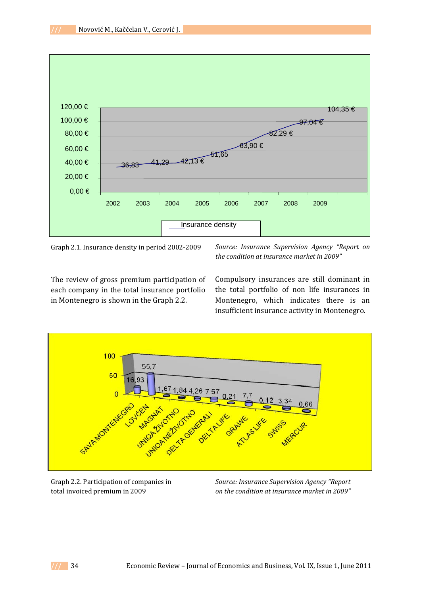

Graph 2.1. Insurance density in period 2002‐2009

*Source: Insurance Supervision Agency "Report on the condition at insurance market in 2009"*

The review of gross premium participation of each company in the total insurance portfolio in Montenegro is shown in the Graph 2.2.

Compulsory insurances are still dominant in the total portfolio of non life insurances in Montenegro, which indicates there is an insufficient insurance activity in Montenegro.



Graph 2.2. Participation of companies in total invoiced premium in 2009

*Source: Insurance Supervision Agency "Report on the condition at insurance market in 2009"*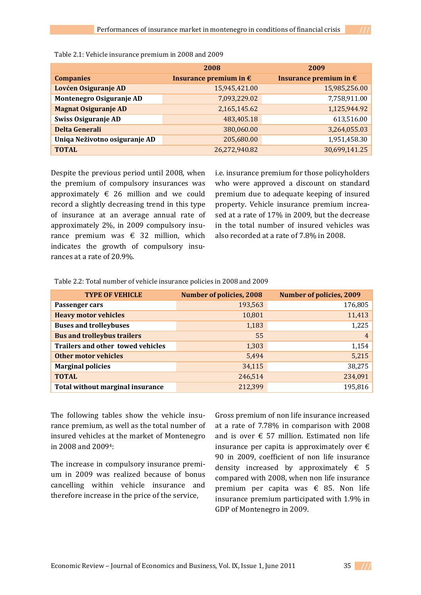|                               | 2008                            | 2009                            |
|-------------------------------|---------------------------------|---------------------------------|
| <b>Companies</b>              | Insurance premium in $\epsilon$ | Insurance premium in $\epsilon$ |
| Lovćen Osiguranje AD          | 15,945,421.00                   | 15,985,256.00                   |
| Montenegro Osiguranje AD      | 7,093,229.02                    | 7,758,911.00                    |
| <b>Magnat Osiguranje AD</b>   | 2,165,145.62                    | 1,125,944.92                    |
| Swiss Osiguranje AD           | 483,405.18                      | 613,516.00                      |
| <b>Delta Generali</b>         | 380,060.00                      | 3,264,055.03                    |
| Uniqa Neživotno osiguranje AD | 205,680.00                      | 1,951,458.30                    |
| <b>TOTAL</b>                  | 26,272,940.82                   | 30,699,141.25                   |

| Table 2.1: Vehicle insurance premium in 2008 and 2009 |  |
|-------------------------------------------------------|--|
|-------------------------------------------------------|--|

Despite the previous period until 2008, when the premium of compulsory insurances was approximately  $\epsilon$  26 million and we could record a slightly decreasing trend in this type of insurance at an average annual rate of approximately 2%, in 2009 compulsory insu‐ rance premium was  $\epsilon$  32 million, which indicates the growth of compulsory insurances at a rate of 20.9%.

i.e. insurance premium for those policyholders who were approved a discount on standard premium due to adequate keeping of insured property. Vehicle insurance premium increa‐ sed at a rate of 17% in 2009, but the decrease in the total number of insured vehicles was also recorded at a rate of 7.8% in 2008.

Table 2.2: Total number of vehicle insurance policies in 2008 and 2009

| <b>TYPE OF VEHICLE</b>             | <b>Number of policies, 2008</b> | <b>Number of policies, 2009</b> |
|------------------------------------|---------------------------------|---------------------------------|
| Passenger cars                     | 193,563                         | 176,805                         |
| <b>Heavy motor vehicles</b>        | 10,801                          | 11,413                          |
| <b>Buses and trolleybuses</b>      | 1,183                           | 1,225                           |
| <b>Bus and trolleybus trailers</b> | 55                              | $\overline{4}$                  |
| Trailers and other towed vehicles  | 1,303                           | 1,154                           |
| <b>Other motor vehicles</b>        | 5,494                           | 5,215                           |
| <b>Marginal policies</b>           | 34,115                          | 38,275                          |
| <b>TOTAL</b>                       | 246,514                         | 234,091                         |
| Total without marginal insurance   | 212,399                         | 195,816                         |

The following tables show the vehicle insurance premium, as well as the total number of insured vehicles at the market of Montenegro in 2008 and 20094:

The increase in compulsory insurance premi‐ um in 2009 was realized because of bonus cancelling within vehicle insurance and therefore increase in the price of the service,

Gross premium of non life insurance increased at a rate of 7.78% in comparison with 2008 and is over  $\epsilon$  57 million. Estimated non life insurance per capita is approximately over  $\epsilon$ 90 in 2009, coefficient of non life insurance density increased by approximately  $\epsilon$  5 compared with 2008, when non life insurance premium per capita was  $\epsilon$  85. Non life insurance premium participated with 1.9% in GDP of Montenegro in 2009.

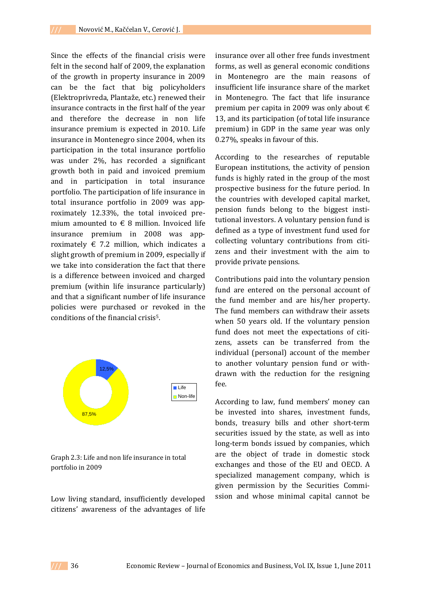Since the effects of the financial crisis were felt in the second half of 2009, the explanation of the growth in property insurance in 2009 can be the fact that big policyholders (Elektroprivreda, Plantaže, etc.) renewed their insurance contracts in the first half of the year and therefore the decrease in non life insurance premium is expected in 2010. Life insurance in Montenegro since 2004, when its participation in the total insurance portfolio was under 2%, has recorded a significant growth both in paid and invoiced premium and in participation in total insurance portfolio. The participation of life insurance in total insurance portfolio in 2009 was app‐ roximately 12.33%, the total invoiced pre‐ mium amounted to  $\epsilon$  8 million. Invoiced life insurance premium in 2008 was app‐ roximately  $\epsilon$  7.2 million, which indicates a slight growth of premium in 2009, especially if we take into consideration the fact that there is a difference between invoiced and charged premium (within life insurance particularly) and that a significant number of life insurance policies were purchased or revoked in the conditions of the financial crisis5.



Graph 2.3: Life and non life insurance in total portfolio in 2009

Low living standard, insufficiently developed citizens' awareness of the advantages of life

insurance over all other free funds investment forms, as well as general economic conditions in Montenegro are the main reasons of insufficient life insurance share of the market in Montenegro. The fact that life insurance premium per capita in 2009 was only about  $\epsilon$ 13, and its participation (of total life insurance premium) in GDP in the same year was only 0.27%, speaks in favour of this.

According to the researches of reputable European institutions, the activity of pension funds is highly rated in the group of the most prospective business for the future period. In the countries with developed capital market, pension funds belong to the biggest insti‐ tutional investors. A voluntary pension fund is defined as a type of investment fund used for collecting voluntary contributions from citizens and their investment with the aim to provide private pensions.

Contributions paid into the voluntary pension fund are entered on the personal account of the fund member and are his/her property. The fund members can withdraw their assets when 50 years old. If the voluntary pension fund does not meet the expectations of citizens, assets can be transferred from the individual (personal) account of the member to another voluntary pension fund or with‐ drawn with the reduction for the resigning fee.

According to law, fund members' money can be invested into shares, investment funds, bonds, treasury bills and other short‐term securities issued by the state, as well as into long-term bonds issued by companies, which are the object of trade in domestic stock exchanges and those of the EU and OECD. A specialized management company, which is given permission by the Securities Commi‐ ssion and whose minimal capital cannot be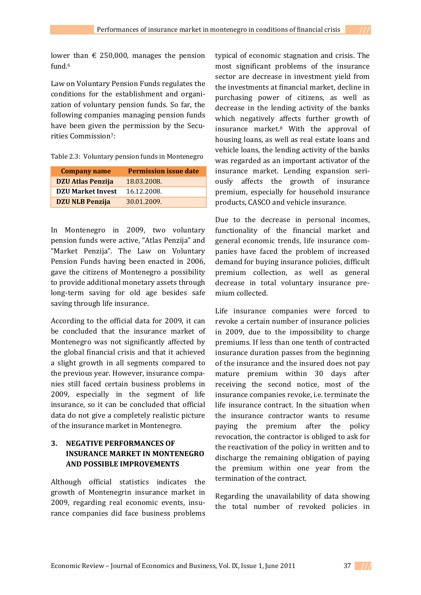lower than  $\epsilon$  250,000, manages the pension fund.6

Law on Voluntary Pension Funds regulates the conditions for the establishment and organi‐ zation of voluntary pension funds. So far, the following companies managing pension funds have been given the permission by the Securities Commission7:

|  |  | Table 2.3: Voluntary pension funds in Montenegro |
|--|--|--------------------------------------------------|
|  |  |                                                  |

| <b>Company name</b>      | <b>Permission issue date</b> |
|--------------------------|------------------------------|
| <b>DZU Atlas Penzija</b> | 18.03.2008.                  |
| <b>DZU Market Invest</b> | 16.12.2008.                  |
| <b>DZU NLB Penzija</b>   | 30.01.2009.                  |

In Montenegro in 2009, two voluntary pension funds were active, "Atlas Penzija" and "Market Penzija". The Law on Voluntary Pension Funds having been enacted in 2006, gave the citizens of Montenegro a possibility to provide additional monetary assets through long-term saving for old age besides safe saving through life insurance.

According to the official data for 2009, it can be concluded that the insurance market of Montenegro was not significantly affected by the global financial crisis and that it achieved a slight growth in all segments compared to the previous year. However, insurance compa‐ nies still faced certain business problems in 2009, especially in the segment of life insurance, so it can be concluded that official data do not give a completely realistic picture of the insurance market in Montenegro.

## **3. NEGATIVE PERFORMANCES OF INSURANCE MARKET IN MONTENEGRO AND POSSIBLE IMPROVEMENTS**

Although official statistics indicates the growth of Montenegrin insurance market in 2009, regarding real economic events, insu‐ rance companies did face business problems

typical of economic stagnation and crisis. The most significant problems of the insurance sector are decrease in investment yield from the investments at financial market, decline in purchasing power of citizens, as well as decrease in the lending activity of the banks which negatively affects further growth of insurance market.8 With the approval of housing loans, as well as real estate loans and vehicle loans, the lending activity of the banks was regarded as an important activator of the insurance market. Lending expansion seri‐ ously affects the growth of insurance premium, especially for household insurance products, CASCO and vehicle insurance.

Due to the decrease in personal incomes, functionality of the financial market and general economic trends, life insurance com‐ panies have faced the problem of increased demand for buying insurance policies, difficult premium collection, as well as general decrease in total voluntary insurance pre‐ mium collected.

Life insurance companies were forced to revoke a certain number of insurance policies in 2009, due to the impossibility to charge premiums. If less than one tenth of contracted insurance duration passes from the beginning of the insurance and the insured does not pay mature premium within 30 days after receiving the second notice, most of the insurance companies revoke, i.e. terminate the life insurance contract. In the situation when the insurance contractor wants to resume paying the premium after the policy revocation, the contractor is obliged to ask for the reactivation of the policy in written and to discharge the remaining obligation of paying the premium within one year from the termination of the contract.

Regarding the unavailability of data showing the total number of revoked policies in

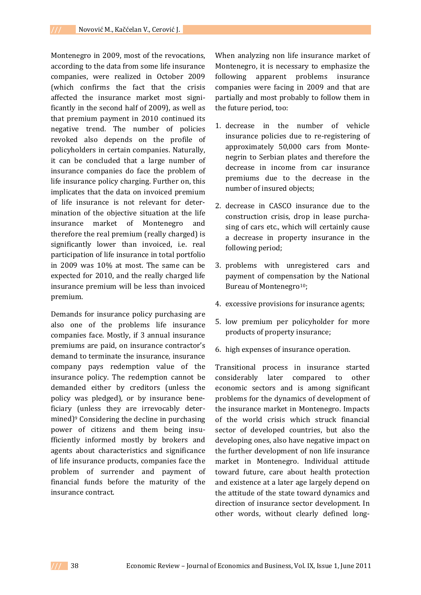Montenegro in 2009, most of the revocations, according to the data from some life insurance companies, were realized in October 2009 (which confirms the fact that the crisis affected the insurance market most signi‐ ficantly in the second half of 2009), as well as that premium payment in 2010 continued its negative trend. The number of policies revoked also depends on the profile of policyholders in certain companies. Naturally, it can be concluded that a large number of insurance companies do face the problem of life insurance policy charging. Further on, this implicates that the data on invoiced premium of life insurance is not relevant for deter‐ mination of the objective situation at the life insurance market of Montenegro and therefore the real premium (really charged) is significantly lower than invoiced, i.e. real participation of life insurance in total portfolio in 2009 was 10% at most. The same can be expected for 2010, and the really charged life insurance premium will be less than invoiced premium.

Demands for insurance policy purchasing are also one of the problems life insurance companies face. Mostly, if 3 annual insurance premiums are paid, on insurance contractor's demand to terminate the insurance, insurance company pays redemption value of the insurance policy. The redemption cannot be demanded either by creditors (unless the policy was pledged), or by insurance bene‐ ficiary (unless they are irrevocably deter‐ mined)<sup>9</sup> Considering the decline in purchasing power of citizens and them being insufficiently informed mostly by brokers and agents about characteristics and significance of life insurance products, companies face the problem of surrender and payment of financial funds before the maturity of the insurance contract.

When analyzing non life insurance market of Montenegro, it is necessary to emphasize the following apparent problems insurance companies were facing in 2009 and that are partially and most probably to follow them in the future period, too:

- 1. decrease in the number of vehicle insurance policies due to re‐registering of approximately 50,000 cars from Monte‐ negrin to Serbian plates and therefore the decrease in income from car insurance premiums due to the decrease in the number of insured objects;
- 2. decrease in CASCO insurance due to the construction crisis, drop in lease purcha‐ sing of cars etc., which will certainly cause a decrease in property insurance in the following period;
- 3. problems with unregistered cars and payment of compensation by the National Bureau of Montenegro<sup>10</sup>;
- 4. excessive provisions for insurance agents;
- 5. low premium per policyholder for more products of property insurance;
- 6. high expenses of insurance operation.

Transitional process in insurance started considerably later compared to other economic sectors and is among significant problems for the dynamics of development of the insurance market in Montenegro. Impacts of the world crisis which struck financial sector of developed countries, but also the developing ones, also have negative impact on the further development of non life insurance market in Montenegro. Individual attitude toward future, care about health protection and existence at a later age largely depend on the attitude of the state toward dynamics and direction of insurance sector development. In other words, without clearly defined long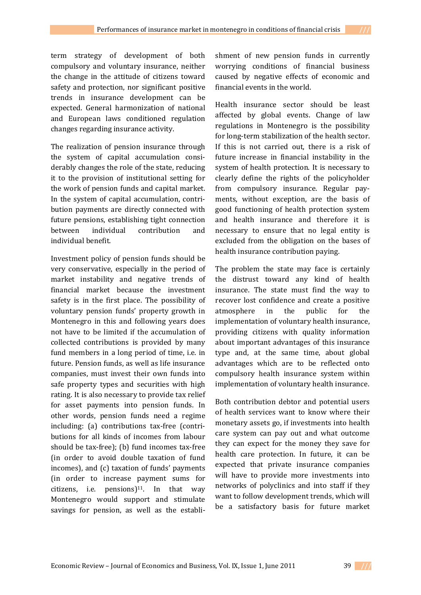term strategy of development of both compulsory and voluntary insurance, neither the change in the attitude of citizens toward safety and protection, nor significant positive trends in insurance development can be expected. General harmonization of national and European laws conditioned regulation changes regarding insurance activity.

The realization of pension insurance through the system of capital accumulation considerably changes the role of the state, reducing it to the provision of institutional setting for the work of pension funds and capital market. In the system of capital accumulation, contribution payments are directly connected with future pensions, establishing tight connection between individual contribution and individual benefit.

Investment policy of pension funds should be very conservative, especially in the period of market instability and negative trends of financial market because the investment safety is in the first place. The possibility of voluntary pension funds' property growth in Montenegro in this and following years does not have to be limited if the accumulation of collected contributions is provided by many fund members in a long period of time, i.e. in future. Pension funds, as well as life insurance companies, must invest their own funds into safe property types and securities with high rating. It is also necessary to provide tax relief for asset payments into pension funds. In other words, pension funds need a regime including: (a) contributions tax-free (contributions for all kinds of incomes from labour should be tax‐free); (b) fund incomes tax‐free (in order to avoid double taxation of fund incomes), and (c) taxation of funds' payments (in order to increase payment sums for  $citizens,$  i.e.  $pensions)$ <sup>11</sup>. In that way Montenegro would support and stimulate savings for pension, as well as the establishment of new pension funds in currently worrying conditions of financial business caused by negative effects of economic and financial events in the world.

Health insurance sector should be least affected by global events. Change of law regulations in Montenegro is the possibility for long-term stabilization of the health sector. If this is not carried out, there is a risk of future increase in financial instability in the system of health protection. It is necessary to clearly define the rights of the policyholder from compulsory insurance. Regular payments, without exception, are the basis of good functioning of health protection system and health insurance and therefore it is necessary to ensure that no legal entity is excluded from the obligation on the bases of health insurance contribution paying.

The problem the state may face is certainly the distrust toward any kind of health insurance. The state must find the way to recover lost confidence and create a positive atmosphere in the public for the implementation of voluntary health insurance, providing citizens with quality information about important advantages of this insurance type and, at the same time, about global advantages which are to be reflected onto compulsory health insurance system within implementation of voluntary health insurance.

Both contribution debtor and potential users of health services want to know where their monetary assets go, if investments into health care system can pay out and what outcome they can expect for the money they save for health care protection. In future, it can be expected that private insurance companies will have to provide more investments into networks of polyclinics and into staff if they want to follow development trends, which will be a satisfactory basis for future market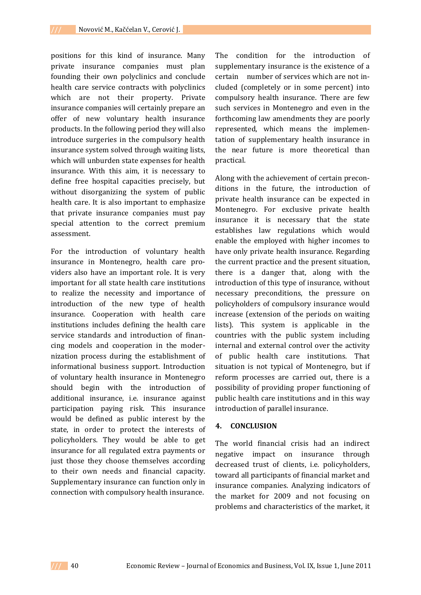positions for this kind of insurance. Many private insurance companies must plan founding their own polyclinics and conclude health care service contracts with polyclinics which are not their property. Private insurance companies will certainly prepare an offer of new voluntary health insurance products. In the following period they will also introduce surgeries in the compulsory health insurance system solved through waiting lists, which will unburden state expenses for health insurance. With this aim, it is necessary to define free hospital capacities precisely, but without disorganizing the system of public health care. It is also important to emphasize that private insurance companies must pay special attention to the correct premium assessment.

For the introduction of voluntary health insurance in Montenegro, health care providers also have an important role. It is very important for all state health care institutions to realize the necessity and importance of introduction of the new type of health insurance. Cooperation with health care institutions includes defining the health care service standards and introduction of finan‐ cing models and cooperation in the moder‐ nization process during the establishment of informational business support. Introduction of voluntary health insurance in Montenegro should begin with the introduction of additional insurance, i.e. insurance against participation paying risk. This insurance would be defined as public interest by the state, in order to protect the interests of policyholders. They would be able to get insurance for all regulated extra payments or just those they choose themselves according to their own needs and financial capacity. Supplementary insurance can function only in connection with compulsory health insurance.

The condition for the introduction of supplementary insurance is the existence of a certain number of services which are not included (completely or in some percent) into compulsory health insurance. There are few such services in Montenegro and even in the forthcoming law amendments they are poorly represented, which means the implemen‐ tation of supplementary health insurance in the near future is more theoretical than practical.

Along with the achievement of certain precon‐ ditions in the future, the introduction of private health insurance can be expected in Montenegro. For exclusive private health insurance it is necessary that the state establishes law regulations which would enable the employed with higher incomes to have only private health insurance. Regarding the current practice and the present situation, there is a danger that, along with the introduction of this type of insurance, without necessary preconditions, the pressure on policyholders of compulsory insurance would increase (extension of the periods on waiting lists). This system is applicable in the countries with the public system including internal and external control over the activity of public health care institutions. That situation is not typical of Montenegro, but if reform processes are carried out, there is a possibility of providing proper functioning of public health care institutions and in this way introduction of parallel insurance.

## **4. CONCLUSION**

The world financial crisis had an indirect negative impact on insurance through decreased trust of clients, i.e. policyholders, toward all participants of financial market and insurance companies. Analyzing indicators of the market for 2009 and not focusing on problems and characteristics of the market, it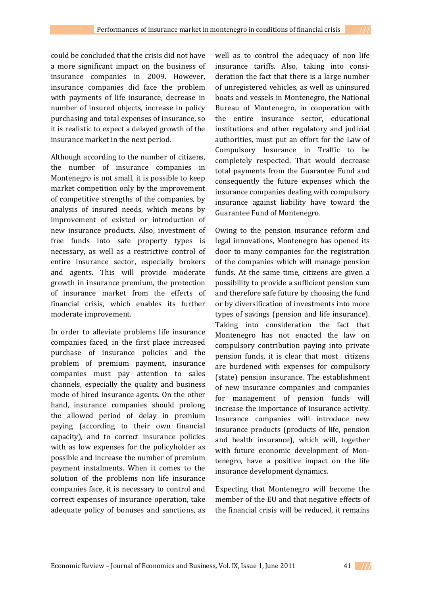could be concluded that the crisis did not have a more significant impact on the business of insurance companies in 2009. However, insurance companies did face the problem with payments of life insurance, decrease in number of insured objects, increase in policy purchasing and total expenses of insurance, so it is realistic to expect a delayed growth of the insurance market in the next period.

Although according to the number of citizens, the number of insurance companies in Montenegro is not small, it is possible to keep market competition only by the improvement of competitive strengths of the companies, by analysis of insured needs, which means by improvement of existed or introduction of new insurance products. Also, investment of free funds into safe property types is necessary, as well as a restrictive control of entire insurance sector, especially brokers and agents. This will provide moderate growth in insurance premium, the protection of insurance market from the effects of financial crisis, which enables its further moderate improvement.

In order to alleviate problems life insurance companies faced, in the first place increased purchase of insurance policies and the problem of premium payment, insurance companies must pay attention to sales channels, especially the quality and business mode of hired insurance agents. On the other hand, insurance companies should prolong the allowed period of delay in premium paying (according to their own financial capacity), and to correct insurance policies with as low expenses for the policyholder as possible and increase the number of premium payment instalments. When it comes to the solution of the problems non life insurance companies face, it is necessary to control and correct expenses of insurance operation, take adequate policy of bonuses and sanctions, as

well as to control the adequacy of non life insurance tariffs. Also, taking into consideration the fact that there is a large number of unregistered vehicles, as well as uninsured boats and vessels in Montenegro, the National Bureau of Montenegro, in cooperation with the entire insurance sector, educational institutions and other regulatory and judicial authorities, must put an effort for the Law of Compulsory Insurance in Traffic to be completely respected. That would decrease total payments from the Guarantee Fund and consequently the future expenses which the insurance companies dealing with compulsory insurance against liability have toward the Guarantee Fund of Montenegro.

Owing to the pension insurance reform and legal innovations, Montenegro has opened its door to many companies for the registration of the companies which will manage pension funds. At the same time, citizens are given a possibility to provide a sufficient pension sum and therefore safe future by choosing the fund or by diversification of investments into more types of savings (pension and life insurance). Taking into consideration the fact that Montenegro has not enacted the law on compulsory contribution paying into private pension funds, it is clear that most citizens are burdened with expenses for compulsory (state) pension insurance. The establishment of new insurance companies and companies for management of pension funds will increase the importance of insurance activity. Insurance companies will introduce new insurance products (products of life, pension and health insurance), which will, together with future economic development of Montenegro, have a positive impact on the life insurance development dynamics.

Expecting that Montenegro will become the member of the EU and that negative effects of the financial crisis will be reduced, it remains

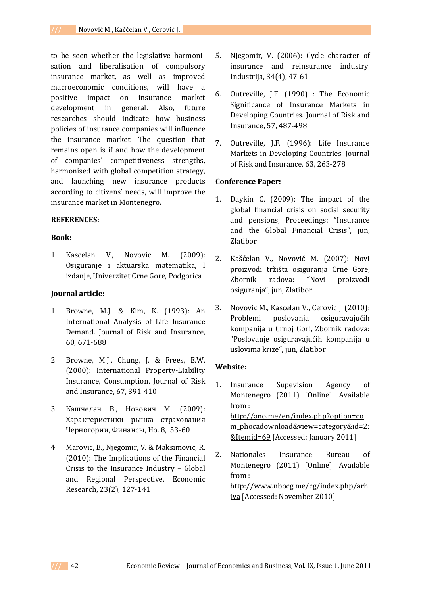to be seen whether the legislative harmoni‐ sation and liberalisation of compulsory insurance market, as well as improved macroeconomic conditions, will have a positive impact on insurance market development in general. Also, future researches should indicate how business policies of insurance companies will influence the insurance market. The question that remains open is if and how the development of companies' competitiveness strengths, harmonised with global competition strategy, and launching new insurance products according to citizens' needs, will improve the insurance market in Montenegro.

#### **REFERENCES:**

### **Book:**

1. Kascelan V., Novovic M. (2009): Osiguranje i aktuarska matematika, I izdanje, Univerzitet Crne Gore, Podgorica

### **Journal article:**

- 1. Browne, M.J. & Kim, K. (1993): An International Analysis of Life Insurance Demand. Journal of Risk and Insurance, 60, 671‐688
- 2. Browne, M.J., Chung, J. & Frees, E.W. (2000): International Property‐Liability Insurance, Consumption. Journal of Risk and Insurance, 67, 391‐410
- 3. Кашчелан В., Новович М. (2009): Характеристики рынка страхования Черногории, Финансы, Но. 8, 53‐60
- 4. Marovic, B., Njegomir, V. & Maksimovic, R. (2010): The Implications of the Financial Crisis to the Insurance Industry – Global and Regional Perspective. Economic Research, 23(2), 127‐141
- 5. Njegomir, V. (2006): Cycle character of insurance and reinsurance industry. Industrija, 34(4), 47‐61
- 6. Outreville, J.F. (1990) : The Economic Significance of Insurance Markets in Developing Countries. Journal of Risk and Insurance, 57, 487‐498
- 7. Outreville, J.F. (1996): Life Insurance Markets in Developing Countries. Journal of Risk and Insurance, 63, 263‐278

#### **Conference Paper:**

- 1. Daykin C. (2009): Тhe impact of the global financial crisis on social security and pensions, Proceedings: "Insurance and the Global Financial Crisis", jun, Zlatibor
- 2. Kašćelan V., Novović M. (2007): Novi proizvodi tržišta osiguranja Crne Gore, Zbornik radova: "Novi proizvodi osiguranja", jun, Zlatibor
- 3. Novovic M., Kascelan V., Cerovic J. (2010): Problemi poslovanja osiguravajućih kompanija u Crnoj Gori, Zbornik radova: "Poslovanje osiguravajućih kompanija u uslovima krize", jun, Zlatibor

### **Website:**

- 1. Insurance Supevision Agency of Montenegro (2011) [Online]. Available from : http://ano.me/en/index.php?option=co m\_phocadownload&view=category&id=2: &Itemid=69 [Accessed: January 2011]
- 2. Nationales Insurance Bureau of Montenegro (2011) [Online]. Available from : http://www.nbocg.me/cg/index.php/arh iva [Accessed: November 2010]